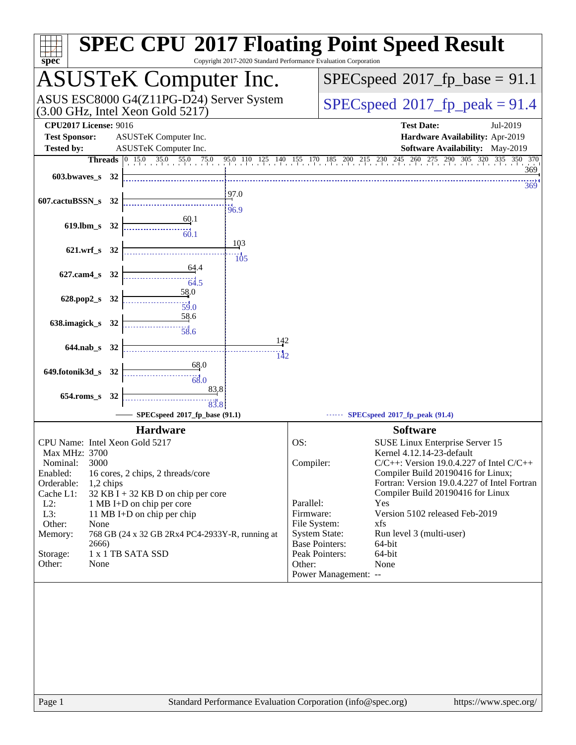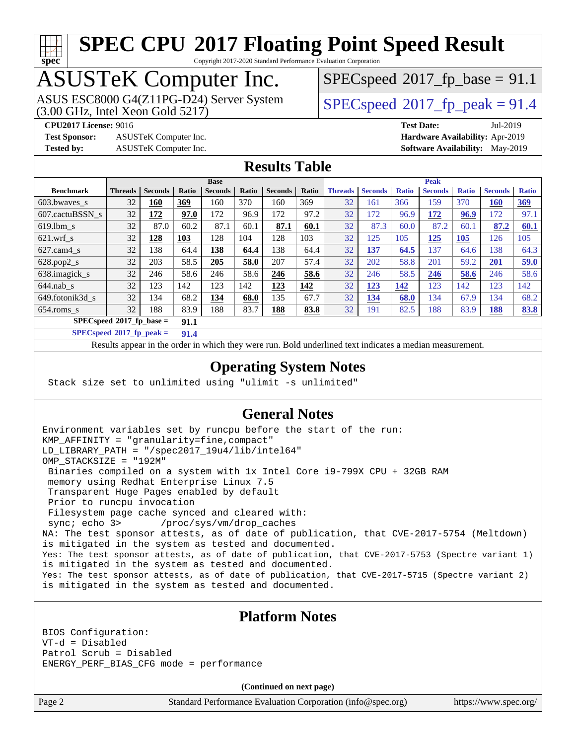# **[spec](http://www.spec.org/)**

# **[SPEC CPU](http://www.spec.org/auto/cpu2017/Docs/result-fields.html#SPECCPU2017FloatingPointSpeedResult)[2017 Floating Point Speed Result](http://www.spec.org/auto/cpu2017/Docs/result-fields.html#SPECCPU2017FloatingPointSpeedResult)**

Copyright 2017-2020 Standard Performance Evaluation Corporation

# ASUSTeK Computer Inc.

(3.00 GHz, Intel Xeon Gold 5217) ASUS ESC8000 G4(Z11PG-D24) Server System  $\sqrt{\text{SPECspeed}}$  $\sqrt{\text{SPECspeed}}$  $\sqrt{\text{SPECspeed}}$  2017 fp\_peak = 91.4

 $SPECspeed^{\circ}2017\_fp\_base = 91.1$  $SPECspeed^{\circ}2017\_fp\_base = 91.1$ 

**[Test Sponsor:](http://www.spec.org/auto/cpu2017/Docs/result-fields.html#TestSponsor)** ASUSTeK Computer Inc. **[Hardware Availability:](http://www.spec.org/auto/cpu2017/Docs/result-fields.html#HardwareAvailability)** Apr-2019

**[CPU2017 License:](http://www.spec.org/auto/cpu2017/Docs/result-fields.html#CPU2017License)** 9016 **[Test Date:](http://www.spec.org/auto/cpu2017/Docs/result-fields.html#TestDate)** Jul-2019 **[Tested by:](http://www.spec.org/auto/cpu2017/Docs/result-fields.html#Testedby)** ASUSTeK Computer Inc. **[Software Availability:](http://www.spec.org/auto/cpu2017/Docs/result-fields.html#SoftwareAvailability)** May-2019

#### **[Results Table](http://www.spec.org/auto/cpu2017/Docs/result-fields.html#ResultsTable)**

|                                    | <b>Base</b>    |                |              |                |       | <b>Peak</b>    |       |                |                |              |                |              |                |              |
|------------------------------------|----------------|----------------|--------------|----------------|-------|----------------|-------|----------------|----------------|--------------|----------------|--------------|----------------|--------------|
| <b>Benchmark</b>                   | <b>Threads</b> | <b>Seconds</b> | <b>Ratio</b> | <b>Seconds</b> | Ratio | <b>Seconds</b> | Ratio | <b>Threads</b> | <b>Seconds</b> | <b>Ratio</b> | <b>Seconds</b> | <b>Ratio</b> | <b>Seconds</b> | <b>Ratio</b> |
| 603.bwayes s                       | 32             | <u> 160</u>    | 369          | 160            | 370   | 160            | 369   | 32             | 161            | 366          | 159            | 370          | <b>160</b>     | <u>369</u>   |
| 607.cactuBSSN s                    | 32             | 172            | 97.0         | 172            | 96.9  | 172            | 97.2  | 32             | 172            | 96.9         | 172            | 96.9         | 172            | 97.1         |
| $619.1$ bm s                       | 32             | 87.0           | 60.2         | 87.1           | 60.1  | 87.1           | 60.1  | 32             | 87.3           | 60.0         | 87.2           | 60.1         | 87.2           | 60.1         |
| $621.wrf$ s                        | 32             | 128            | 103          | 128            | 104   | 128            | 103   | 32             | 125            | 105          | 125            | 105          | 126            | 105          |
| $627$ .cam4 s                      | 32             | 138            | 64.4         | 138            | 64.4  | 138            | 64.4  | 32             | 137            | 64.5         | 137            | 64.6         | 138            | 64.3         |
| $628.pop2_s$                       | 32             | 203            | 58.5         | 205            | 58.0  | 207            | 57.4  | 32             | 202            | 58.8         | 201            | 59.2         | 201            | 59.0         |
| 638.imagick_s                      | 32             | 246            | 58.6         | 246            | 58.6  | 246            | 58.6  | 32             | 246            | 58.5         | 246            | 58.6         | 246            | 58.6         |
| $644$ .nab s                       | 32             | 123            | 142          | 123            | 142   | 123            | 142   | 32             | <u> 123</u>    | 142          | 123            | 142          | 123            | 142          |
| 649.fotonik3d s                    | 32             | 134            | 68.2         | 134            | 68.0  | 135            | 67.7  | 32             | <u>134</u>     | 68.0         | 134            | 67.9         | 134            | 68.2         |
| $654$ .roms s                      | 32             | 188            | 83.9         | 188            | 83.7  | <u>188</u>     | 83.8  | 32             | 191            | 82.5         | 188            | 83.9         | <u>188</u>     | 83.8         |
| $SPECspeed*2017$ fp base =<br>91.1 |                |                |              |                |       |                |       |                |                |              |                |              |                |              |

**[SPECspeed](http://www.spec.org/auto/cpu2017/Docs/result-fields.html#SPECspeed2017fppeak)[2017\\_fp\\_peak =](http://www.spec.org/auto/cpu2017/Docs/result-fields.html#SPECspeed2017fppeak) 91.4**

Results appear in the [order in which they were run.](http://www.spec.org/auto/cpu2017/Docs/result-fields.html#RunOrder) Bold underlined text [indicates a median measurement](http://www.spec.org/auto/cpu2017/Docs/result-fields.html#Median).

### **[Operating System Notes](http://www.spec.org/auto/cpu2017/Docs/result-fields.html#OperatingSystemNotes)**

Stack size set to unlimited using "ulimit -s unlimited"

### **[General Notes](http://www.spec.org/auto/cpu2017/Docs/result-fields.html#GeneralNotes)**

Environment variables set by runcpu before the start of the run: KMP\_AFFINITY = "granularity=fine,compact" LD\_LIBRARY\_PATH = "/spec2017\_19u4/lib/intel64" OMP\_STACKSIZE = "192M" Binaries compiled on a system with 1x Intel Core i9-799X CPU + 32GB RAM memory using Redhat Enterprise Linux 7.5 Transparent Huge Pages enabled by default Prior to runcpu invocation Filesystem page cache synced and cleared with: sync; echo 3> /proc/sys/vm/drop\_caches NA: The test sponsor attests, as of date of publication, that CVE-2017-5754 (Meltdown) is mitigated in the system as tested and documented. Yes: The test sponsor attests, as of date of publication, that CVE-2017-5753 (Spectre variant 1) is mitigated in the system as tested and documented. Yes: The test sponsor attests, as of date of publication, that CVE-2017-5715 (Spectre variant 2) is mitigated in the system as tested and documented.

#### **[Platform Notes](http://www.spec.org/auto/cpu2017/Docs/result-fields.html#PlatformNotes)**

BIOS Configuration: VT-d = Disabled Patrol Scrub = Disabled ENERGY\_PERF\_BIAS\_CFG mode = performance

**(Continued on next page)**

Page 2 Standard Performance Evaluation Corporation [\(info@spec.org\)](mailto:info@spec.org) <https://www.spec.org/>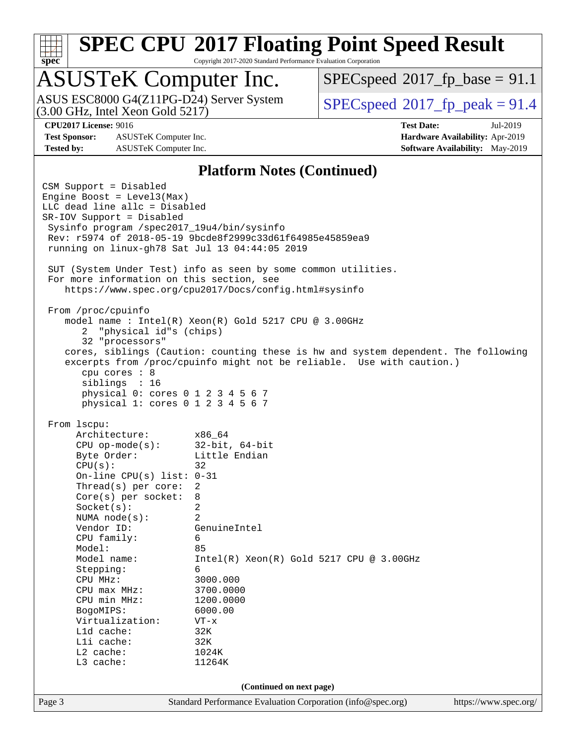# **[spec](http://www.spec.org/)**

# **[SPEC CPU](http://www.spec.org/auto/cpu2017/Docs/result-fields.html#SPECCPU2017FloatingPointSpeedResult)[2017 Floating Point Speed Result](http://www.spec.org/auto/cpu2017/Docs/result-fields.html#SPECCPU2017FloatingPointSpeedResult)**

Copyright 2017-2020 Standard Performance Evaluation Corporation

## ASUSTeK Computer Inc.

(3.00 GHz, Intel Xeon Gold 5217) ASUS ESC8000 G4(Z11PG-D24) Server System  $\big|$  [SPECspeed](http://www.spec.org/auto/cpu2017/Docs/result-fields.html#SPECspeed2017fppeak)®[2017\\_fp\\_peak = 9](http://www.spec.org/auto/cpu2017/Docs/result-fields.html#SPECspeed2017fppeak)1.4

 $SPECspeed^{\circledcirc}2017\_fp\_base = 91.1$  $SPECspeed^{\circledcirc}2017\_fp\_base = 91.1$ 

**[Test Sponsor:](http://www.spec.org/auto/cpu2017/Docs/result-fields.html#TestSponsor)** ASUSTeK Computer Inc. **[Hardware Availability:](http://www.spec.org/auto/cpu2017/Docs/result-fields.html#HardwareAvailability)** Apr-2019 **[Tested by:](http://www.spec.org/auto/cpu2017/Docs/result-fields.html#Testedby)** ASUSTeK Computer Inc. **[Software Availability:](http://www.spec.org/auto/cpu2017/Docs/result-fields.html#SoftwareAvailability)** May-2019

**[CPU2017 License:](http://www.spec.org/auto/cpu2017/Docs/result-fields.html#CPU2017License)** 9016 **[Test Date:](http://www.spec.org/auto/cpu2017/Docs/result-fields.html#TestDate)** Jul-2019

#### **[Platform Notes \(Continued\)](http://www.spec.org/auto/cpu2017/Docs/result-fields.html#PlatformNotes)**

Page 3 Standard Performance Evaluation Corporation [\(info@spec.org\)](mailto:info@spec.org) <https://www.spec.org/> CSM Support = Disabled Engine Boost = Level3(Max) LLC dead line allc = Disabled SR-IOV Support = Disabled Sysinfo program /spec2017\_19u4/bin/sysinfo Rev: r5974 of 2018-05-19 9bcde8f2999c33d61f64985e45859ea9 running on linux-gh78 Sat Jul 13 04:44:05 2019 SUT (System Under Test) info as seen by some common utilities. For more information on this section, see <https://www.spec.org/cpu2017/Docs/config.html#sysinfo> From /proc/cpuinfo model name : Intel(R) Xeon(R) Gold 5217 CPU @ 3.00GHz 2 "physical id"s (chips) 32 "processors" cores, siblings (Caution: counting these is hw and system dependent. The following excerpts from /proc/cpuinfo might not be reliable. Use with caution.) cpu cores : 8 siblings : 16 physical 0: cores 0 1 2 3 4 5 6 7 physical 1: cores 0 1 2 3 4 5 6 7 From lscpu: Architecture: x86\_64 CPU op-mode(s): 32-bit, 64-bit Byte Order: Little Endian  $CPU(s):$  32 On-line CPU(s) list: 0-31 Thread(s) per core: 2 Core(s) per socket: 8 Socket(s): 2 NUMA node(s): 2 Vendor ID: GenuineIntel CPU family: 6 Model: 85 Model name: Intel(R) Xeon(R) Gold 5217 CPU @ 3.00GHz Stepping: 6 CPU MHz: 3000.000 CPU max MHz: 3700.0000 CPU min MHz: 1200.0000 BogoMIPS: 6000.00 Virtualization: VT-x L1d cache: 32K<br>
L1i cache: 32K  $L1i$  cache: L2 cache: 1024K L3 cache: 11264K **(Continued on next page)**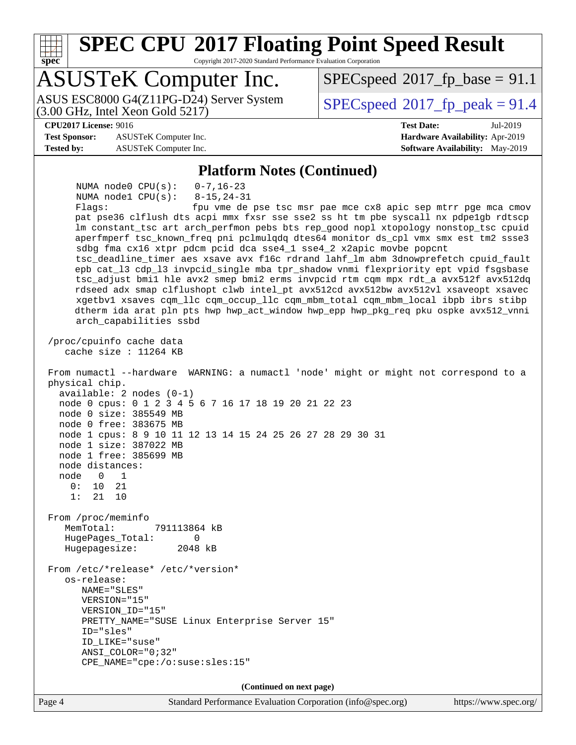**[spec](http://www.spec.org/) [SPEC CPU](http://www.spec.org/auto/cpu2017/Docs/result-fields.html#SPECCPU2017FloatingPointSpeedResult)[2017 Floating Point Speed Result](http://www.spec.org/auto/cpu2017/Docs/result-fields.html#SPECCPU2017FloatingPointSpeedResult)** Copyright 2017-2020 Standard Performance Evaluation Corporation ASUSTeK Computer Inc. (3.00 GHz, Intel Xeon Gold 5217) ASUS ESC8000 G4(Z11PG-D24) Server System  $\big|$  [SPECspeed](http://www.spec.org/auto/cpu2017/Docs/result-fields.html#SPECspeed2017fppeak)®[2017\\_fp\\_peak = 9](http://www.spec.org/auto/cpu2017/Docs/result-fields.html#SPECspeed2017fppeak)1.4  $SPECspeed^{\circledcirc}2017\_fp\_base = 91.1$  $SPECspeed^{\circledcirc}2017\_fp\_base = 91.1$ **[CPU2017 License:](http://www.spec.org/auto/cpu2017/Docs/result-fields.html#CPU2017License)** 9016 **[Test Date:](http://www.spec.org/auto/cpu2017/Docs/result-fields.html#TestDate)** Jul-2019 **[Test Sponsor:](http://www.spec.org/auto/cpu2017/Docs/result-fields.html#TestSponsor)** ASUSTeK Computer Inc. **[Hardware Availability:](http://www.spec.org/auto/cpu2017/Docs/result-fields.html#HardwareAvailability)** Apr-2019 **[Tested by:](http://www.spec.org/auto/cpu2017/Docs/result-fields.html#Testedby)** ASUSTeK Computer Inc. **[Software Availability:](http://www.spec.org/auto/cpu2017/Docs/result-fields.html#SoftwareAvailability)** May-2019 **[Platform Notes \(Continued\)](http://www.spec.org/auto/cpu2017/Docs/result-fields.html#PlatformNotes)** NUMA node0 CPU(s): 0-7,16-23 NUMA node1 CPU(s): 8-15,24-31 Flags: fpu vme de pse tsc msr pae mce cx8 apic sep mtrr pge mca cmov pat pse36 clflush dts acpi mmx fxsr sse sse2 ss ht tm pbe syscall nx pdpe1gb rdtscp lm constant\_tsc art arch\_perfmon pebs bts rep\_good nopl xtopology nonstop\_tsc cpuid aperfmperf tsc\_known\_freq pni pclmulqdq dtes64 monitor ds\_cpl vmx smx est tm2 ssse3 sdbg fma cx16 xtpr pdcm pcid dca sse4\_1 sse4\_2 x2apic movbe popcnt tsc\_deadline\_timer aes xsave avx f16c rdrand lahf\_lm abm 3dnowprefetch cpuid\_fault epb cat\_l3 cdp\_l3 invpcid\_single mba tpr\_shadow vnmi flexpriority ept vpid fsgsbase tsc\_adjust bmi1 hle avx2 smep bmi2 erms invpcid rtm cqm mpx rdt\_a avx512f avx512dq rdseed adx smap clflushopt clwb intel\_pt avx512cd avx512bw avx512vl xsaveopt xsavec xgetbv1 xsaves cqm\_llc cqm\_occup\_llc cqm\_mbm\_total cqm\_mbm\_local ibpb ibrs stibp dtherm ida arat pln pts hwp hwp\_act\_window hwp\_epp hwp\_pkg\_req pku ospke avx512\_vnni arch\_capabilities ssbd /proc/cpuinfo cache data cache size : 11264 KB From numactl --hardware WARNING: a numactl 'node' might or might not correspond to a physical chip. available: 2 nodes (0-1) node 0 cpus: 0 1 2 3 4 5 6 7 16 17 18 19 20 21 22 23 node 0 size: 385549 MB node 0 free: 383675 MB node 1 cpus: 8 9 10 11 12 13 14 15 24 25 26 27 28 29 30 31 node 1 size: 387022 MB node 1 free: 385699 MB node distances: node 0 1 0: 10 21 1: 21 10 From /proc/meminfo MemTotal: 791113864 kB HugePages\_Total: 0 Hugepagesize: 2048 kB From /etc/\*release\* /etc/\*version\* os-release: NAME="SLES" VERSION="15" VERSION\_ID="15" PRETTY\_NAME="SUSE Linux Enterprise Server 15" ID="sles" ID\_LIKE="suse" ANSI\_COLOR="0;32" CPE\_NAME="cpe:/o:suse:sles:15" **(Continued on next page)**

Page 4 Standard Performance Evaluation Corporation [\(info@spec.org\)](mailto:info@spec.org) <https://www.spec.org/>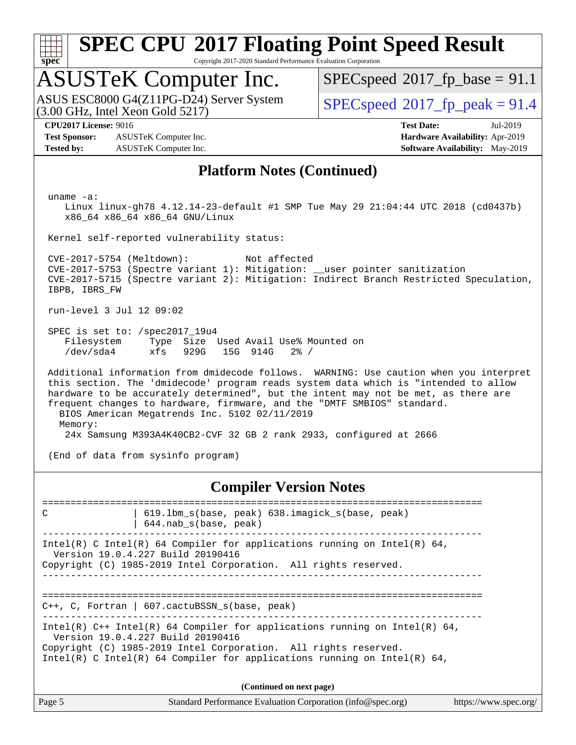

Copyright 2017-2020 Standard Performance Evaluation Corporation

# ASUSTeK Computer Inc.

(3.00 GHz, Intel Xeon Gold 5217) ASUS ESC8000 G4(Z11PG-D24) Server System  $\sqrt{\text{SPECspeed}}$  $\sqrt{\text{SPECspeed}}$  $\sqrt{\text{SPECspeed}}$  2017 fp\_peak = 91.4

 $SPECspeed^{\circ}2017\_fp\_base = 91.1$  $SPECspeed^{\circ}2017\_fp\_base = 91.1$ 

**[Test Sponsor:](http://www.spec.org/auto/cpu2017/Docs/result-fields.html#TestSponsor)** ASUSTeK Computer Inc. **[Hardware Availability:](http://www.spec.org/auto/cpu2017/Docs/result-fields.html#HardwareAvailability)** Apr-2019 **[Tested by:](http://www.spec.org/auto/cpu2017/Docs/result-fields.html#Testedby)** ASUSTeK Computer Inc. **[Software Availability:](http://www.spec.org/auto/cpu2017/Docs/result-fields.html#SoftwareAvailability)** May-2019

**[CPU2017 License:](http://www.spec.org/auto/cpu2017/Docs/result-fields.html#CPU2017License)** 9016 **[Test Date:](http://www.spec.org/auto/cpu2017/Docs/result-fields.html#TestDate)** Jul-2019

#### **[Platform Notes \(Continued\)](http://www.spec.org/auto/cpu2017/Docs/result-fields.html#PlatformNotes)**

uname -a:

 Linux linux-gh78 4.12.14-23-default #1 SMP Tue May 29 21:04:44 UTC 2018 (cd0437b) x86\_64 x86\_64 x86\_64 GNU/Linux

Kernel self-reported vulnerability status:

 CVE-2017-5754 (Meltdown): Not affected CVE-2017-5753 (Spectre variant 1): Mitigation: \_\_user pointer sanitization CVE-2017-5715 (Spectre variant 2): Mitigation: Indirect Branch Restricted Speculation, IBPB, IBRS\_FW

run-level 3 Jul 12 09:02

 SPEC is set to: /spec2017\_19u4 Filesystem Type Size Used Avail Use% Mounted on /dev/sda4 xfs 929G 15G 914G 2% /

 Additional information from dmidecode follows. WARNING: Use caution when you interpret this section. The 'dmidecode' program reads system data which is "intended to allow hardware to be accurately determined", but the intent may not be met, as there are frequent changes to hardware, firmware, and the "DMTF SMBIOS" standard. BIOS American Megatrends Inc. 5102 02/11/2019 Memory: 24x Samsung M393A4K40CB2-CVF 32 GB 2 rank 2933, configured at 2666

(End of data from sysinfo program)

**[Compiler Version Notes](http://www.spec.org/auto/cpu2017/Docs/result-fields.html#CompilerVersionNotes)**

Page 5 Standard Performance Evaluation Corporation [\(info@spec.org\)](mailto:info@spec.org) <https://www.spec.org/> ============================================================================== C | 619.lbm\_s(base, peak) 638.imagick\_s(base, peak) | 644.nab\_s(base, peak) ------------------------------------------------------------------------------ Intel(R) C Intel(R) 64 Compiler for applications running on Intel(R)  $64$ , Version 19.0.4.227 Build 20190416 Copyright (C) 1985-2019 Intel Corporation. All rights reserved. ------------------------------------------------------------------------------ ============================================================================== C++, C, Fortran | 607.cactuBSSN\_s(base, peak) ------------------------------------------------------------------------------ Intel(R)  $C++$  Intel(R) 64 Compiler for applications running on Intel(R) 64, Version 19.0.4.227 Build 20190416 Copyright (C) 1985-2019 Intel Corporation. All rights reserved. Intel(R) C Intel(R) 64 Compiler for applications running on Intel(R)  $64$ , **(Continued on next page)**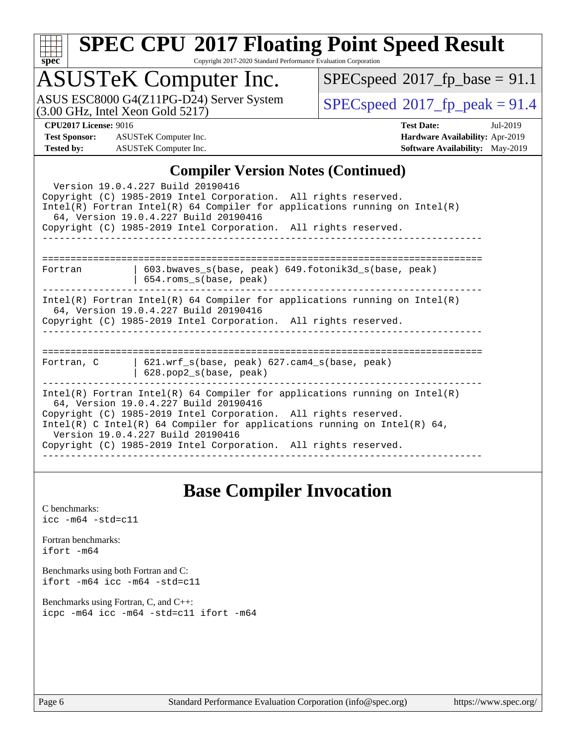| c, | ı | t |  |
|----|---|---|--|

Copyright 2017-2020 Standard Performance Evaluation Corporation

# ASUSTeK Computer Inc.

ASUS ESC8000 G4(Z11PG-D24) Server System  $(3.00 \text{ GHz}, \text{ Intel Xeon Gold } 5217)$ 

 $SPECspeed@2017_fp\_base = 91.1$  $SPECspeed@2017_fp\_base = 91.1$ 

**[Test Sponsor:](http://www.spec.org/auto/cpu2017/Docs/result-fields.html#TestSponsor)** ASUSTeK Computer Inc. **[Hardware Availability:](http://www.spec.org/auto/cpu2017/Docs/result-fields.html#HardwareAvailability)** Apr-2019 **[Tested by:](http://www.spec.org/auto/cpu2017/Docs/result-fields.html#Testedby)** ASUSTeK Computer Inc. **[Software Availability:](http://www.spec.org/auto/cpu2017/Docs/result-fields.html#SoftwareAvailability)** May-2019

**[CPU2017 License:](http://www.spec.org/auto/cpu2017/Docs/result-fields.html#CPU2017License)** 9016 **[Test Date:](http://www.spec.org/auto/cpu2017/Docs/result-fields.html#TestDate)** Jul-2019

### **[Compiler Version Notes \(Continued\)](http://www.spec.org/auto/cpu2017/Docs/result-fields.html#CompilerVersionNotes)**

| $\mathbf{C}$ unphen version rotes ( $\mathbf{C}$ ontinueu)                                                                                                                                                                                                                                                                                                                 |  |  |  |  |  |  |
|----------------------------------------------------------------------------------------------------------------------------------------------------------------------------------------------------------------------------------------------------------------------------------------------------------------------------------------------------------------------------|--|--|--|--|--|--|
| Version 19.0.4.227 Build 20190416<br>Copyright (C) 1985-2019 Intel Corporation. All rights reserved.<br>Intel(R) Fortran Intel(R) 64 Compiler for applications running on Intel(R)<br>64, Version 19.0.4.227 Build 20190416<br>Copyright (C) 1985-2019 Intel Corporation. All rights reserved.                                                                             |  |  |  |  |  |  |
| -----------------------------<br>603.bwaves_s(base, peak) 649.fotonik3d_s(base, peak)<br>Fortran<br>$654.rows_s(base, peak)$                                                                                                                                                                                                                                               |  |  |  |  |  |  |
| $Intel(R)$ Fortran Intel(R) 64 Compiler for applications running on Intel(R)<br>64, Version 19.0.4.227 Build 20190416<br>Copyright (C) 1985-2019 Intel Corporation. All rights reserved.                                                                                                                                                                                   |  |  |  |  |  |  |
| ---------------------------<br>$621.wrf_s(base, peak)$ $627.cam4_s(base, peak)$<br>Fortran, C<br>$628. pop2_s(base, peak)$                                                                                                                                                                                                                                                 |  |  |  |  |  |  |
| Intel(R) Fortran Intel(R) 64 Compiler for applications running on Intel(R)<br>64, Version 19.0.4.227 Build 20190416<br>Copyright (C) 1985-2019 Intel Corporation. All rights reserved.<br>Intel(R) C Intel(R) 64 Compiler for applications running on Intel(R) 64,<br>Version 19.0.4.227 Build 20190416<br>Copyright (C) 1985-2019 Intel Corporation. All rights reserved. |  |  |  |  |  |  |

### **[Base Compiler Invocation](http://www.spec.org/auto/cpu2017/Docs/result-fields.html#BaseCompilerInvocation)**

[C benchmarks](http://www.spec.org/auto/cpu2017/Docs/result-fields.html#Cbenchmarks): [icc -m64 -std=c11](http://www.spec.org/cpu2017/results/res2019q3/cpu2017-20190722-16295.flags.html#user_CCbase_intel_icc_64bit_c11_33ee0cdaae7deeeab2a9725423ba97205ce30f63b9926c2519791662299b76a0318f32ddfffdc46587804de3178b4f9328c46fa7c2b0cd779d7a61945c91cd35)

[Fortran benchmarks](http://www.spec.org/auto/cpu2017/Docs/result-fields.html#Fortranbenchmarks): [ifort -m64](http://www.spec.org/cpu2017/results/res2019q3/cpu2017-20190722-16295.flags.html#user_FCbase_intel_ifort_64bit_24f2bb282fbaeffd6157abe4f878425411749daecae9a33200eee2bee2fe76f3b89351d69a8130dd5949958ce389cf37ff59a95e7a40d588e8d3a57e0c3fd751)

[Benchmarks using both Fortran and C](http://www.spec.org/auto/cpu2017/Docs/result-fields.html#BenchmarksusingbothFortranandC): [ifort -m64](http://www.spec.org/cpu2017/results/res2019q3/cpu2017-20190722-16295.flags.html#user_CC_FCbase_intel_ifort_64bit_24f2bb282fbaeffd6157abe4f878425411749daecae9a33200eee2bee2fe76f3b89351d69a8130dd5949958ce389cf37ff59a95e7a40d588e8d3a57e0c3fd751) [icc -m64 -std=c11](http://www.spec.org/cpu2017/results/res2019q3/cpu2017-20190722-16295.flags.html#user_CC_FCbase_intel_icc_64bit_c11_33ee0cdaae7deeeab2a9725423ba97205ce30f63b9926c2519791662299b76a0318f32ddfffdc46587804de3178b4f9328c46fa7c2b0cd779d7a61945c91cd35)

[Benchmarks using Fortran, C, and C++:](http://www.spec.org/auto/cpu2017/Docs/result-fields.html#BenchmarksusingFortranCandCXX) [icpc -m64](http://www.spec.org/cpu2017/results/res2019q3/cpu2017-20190722-16295.flags.html#user_CC_CXX_FCbase_intel_icpc_64bit_4ecb2543ae3f1412ef961e0650ca070fec7b7afdcd6ed48761b84423119d1bf6bdf5cad15b44d48e7256388bc77273b966e5eb805aefd121eb22e9299b2ec9d9) [icc -m64 -std=c11](http://www.spec.org/cpu2017/results/res2019q3/cpu2017-20190722-16295.flags.html#user_CC_CXX_FCbase_intel_icc_64bit_c11_33ee0cdaae7deeeab2a9725423ba97205ce30f63b9926c2519791662299b76a0318f32ddfffdc46587804de3178b4f9328c46fa7c2b0cd779d7a61945c91cd35) [ifort -m64](http://www.spec.org/cpu2017/results/res2019q3/cpu2017-20190722-16295.flags.html#user_CC_CXX_FCbase_intel_ifort_64bit_24f2bb282fbaeffd6157abe4f878425411749daecae9a33200eee2bee2fe76f3b89351d69a8130dd5949958ce389cf37ff59a95e7a40d588e8d3a57e0c3fd751)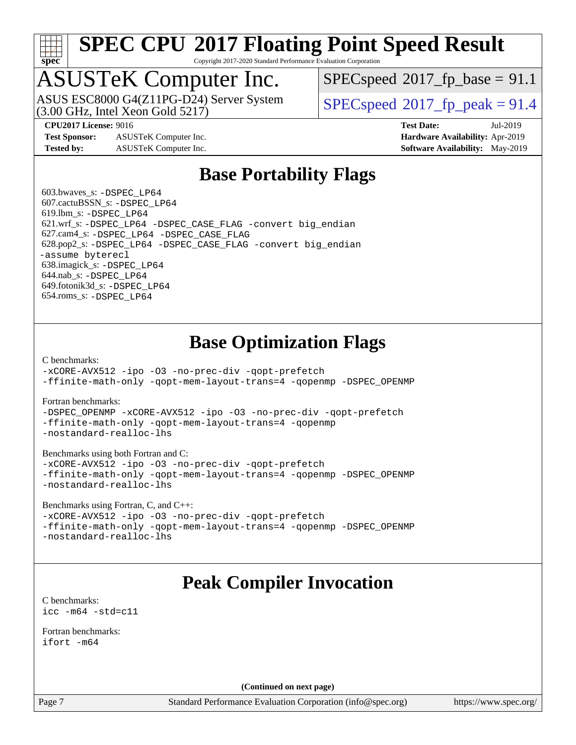

Copyright 2017-2020 Standard Performance Evaluation Corporation

# ASUSTeK Computer Inc.

(3.00 GHz, Intel Xeon Gold 5217) ASUS ESC8000 G4(Z11PG-D24) Server System  $S^{per}$  [SPECspeed](http://www.spec.org/auto/cpu2017/Docs/result-fields.html#SPECspeed2017fppeak)®[2017\\_fp\\_peak = 9](http://www.spec.org/auto/cpu2017/Docs/result-fields.html#SPECspeed2017fppeak)1.4

 $SPECspeed^{\circledcirc}2017\_fp\_base = 91.1$  $SPECspeed^{\circledcirc}2017\_fp\_base = 91.1$ 

**[Test Sponsor:](http://www.spec.org/auto/cpu2017/Docs/result-fields.html#TestSponsor)** ASUSTeK Computer Inc. **[Hardware Availability:](http://www.spec.org/auto/cpu2017/Docs/result-fields.html#HardwareAvailability)** Apr-2019 **[Tested by:](http://www.spec.org/auto/cpu2017/Docs/result-fields.html#Testedby)** ASUSTeK Computer Inc. **[Software Availability:](http://www.spec.org/auto/cpu2017/Docs/result-fields.html#SoftwareAvailability)** May-2019

**[CPU2017 License:](http://www.spec.org/auto/cpu2017/Docs/result-fields.html#CPU2017License)** 9016 **[Test Date:](http://www.spec.org/auto/cpu2017/Docs/result-fields.html#TestDate)** Jul-2019

### **[Base Portability Flags](http://www.spec.org/auto/cpu2017/Docs/result-fields.html#BasePortabilityFlags)**

 603.bwaves\_s: [-DSPEC\\_LP64](http://www.spec.org/cpu2017/results/res2019q3/cpu2017-20190722-16295.flags.html#suite_basePORTABILITY603_bwaves_s_DSPEC_LP64) 607.cactuBSSN\_s: [-DSPEC\\_LP64](http://www.spec.org/cpu2017/results/res2019q3/cpu2017-20190722-16295.flags.html#suite_basePORTABILITY607_cactuBSSN_s_DSPEC_LP64) 619.lbm\_s: [-DSPEC\\_LP64](http://www.spec.org/cpu2017/results/res2019q3/cpu2017-20190722-16295.flags.html#suite_basePORTABILITY619_lbm_s_DSPEC_LP64) 621.wrf\_s: [-DSPEC\\_LP64](http://www.spec.org/cpu2017/results/res2019q3/cpu2017-20190722-16295.flags.html#suite_basePORTABILITY621_wrf_s_DSPEC_LP64) [-DSPEC\\_CASE\\_FLAG](http://www.spec.org/cpu2017/results/res2019q3/cpu2017-20190722-16295.flags.html#b621.wrf_s_baseCPORTABILITY_DSPEC_CASE_FLAG) [-convert big\\_endian](http://www.spec.org/cpu2017/results/res2019q3/cpu2017-20190722-16295.flags.html#user_baseFPORTABILITY621_wrf_s_convert_big_endian_c3194028bc08c63ac5d04de18c48ce6d347e4e562e8892b8bdbdc0214820426deb8554edfa529a3fb25a586e65a3d812c835984020483e7e73212c4d31a38223) 627.cam4\_s: [-DSPEC\\_LP64](http://www.spec.org/cpu2017/results/res2019q3/cpu2017-20190722-16295.flags.html#suite_basePORTABILITY627_cam4_s_DSPEC_LP64) [-DSPEC\\_CASE\\_FLAG](http://www.spec.org/cpu2017/results/res2019q3/cpu2017-20190722-16295.flags.html#b627.cam4_s_baseCPORTABILITY_DSPEC_CASE_FLAG) 628.pop2\_s: [-DSPEC\\_LP64](http://www.spec.org/cpu2017/results/res2019q3/cpu2017-20190722-16295.flags.html#suite_basePORTABILITY628_pop2_s_DSPEC_LP64) [-DSPEC\\_CASE\\_FLAG](http://www.spec.org/cpu2017/results/res2019q3/cpu2017-20190722-16295.flags.html#b628.pop2_s_baseCPORTABILITY_DSPEC_CASE_FLAG) [-convert big\\_endian](http://www.spec.org/cpu2017/results/res2019q3/cpu2017-20190722-16295.flags.html#user_baseFPORTABILITY628_pop2_s_convert_big_endian_c3194028bc08c63ac5d04de18c48ce6d347e4e562e8892b8bdbdc0214820426deb8554edfa529a3fb25a586e65a3d812c835984020483e7e73212c4d31a38223) [-assume byterecl](http://www.spec.org/cpu2017/results/res2019q3/cpu2017-20190722-16295.flags.html#user_baseFPORTABILITY628_pop2_s_assume_byterecl_7e47d18b9513cf18525430bbf0f2177aa9bf368bc7a059c09b2c06a34b53bd3447c950d3f8d6c70e3faf3a05c8557d66a5798b567902e8849adc142926523472) 638.imagick\_s: [-DSPEC\\_LP64](http://www.spec.org/cpu2017/results/res2019q3/cpu2017-20190722-16295.flags.html#suite_basePORTABILITY638_imagick_s_DSPEC_LP64) 644.nab\_s: [-DSPEC\\_LP64](http://www.spec.org/cpu2017/results/res2019q3/cpu2017-20190722-16295.flags.html#suite_basePORTABILITY644_nab_s_DSPEC_LP64) 649.fotonik3d\_s: [-DSPEC\\_LP64](http://www.spec.org/cpu2017/results/res2019q3/cpu2017-20190722-16295.flags.html#suite_basePORTABILITY649_fotonik3d_s_DSPEC_LP64) 654.roms\_s: [-DSPEC\\_LP64](http://www.spec.org/cpu2017/results/res2019q3/cpu2017-20190722-16295.flags.html#suite_basePORTABILITY654_roms_s_DSPEC_LP64)

### **[Base Optimization Flags](http://www.spec.org/auto/cpu2017/Docs/result-fields.html#BaseOptimizationFlags)**

[C benchmarks](http://www.spec.org/auto/cpu2017/Docs/result-fields.html#Cbenchmarks):

[-xCORE-AVX512](http://www.spec.org/cpu2017/results/res2019q3/cpu2017-20190722-16295.flags.html#user_CCbase_f-xCORE-AVX512) [-ipo](http://www.spec.org/cpu2017/results/res2019q3/cpu2017-20190722-16295.flags.html#user_CCbase_f-ipo) [-O3](http://www.spec.org/cpu2017/results/res2019q3/cpu2017-20190722-16295.flags.html#user_CCbase_f-O3) [-no-prec-div](http://www.spec.org/cpu2017/results/res2019q3/cpu2017-20190722-16295.flags.html#user_CCbase_f-no-prec-div) [-qopt-prefetch](http://www.spec.org/cpu2017/results/res2019q3/cpu2017-20190722-16295.flags.html#user_CCbase_f-qopt-prefetch) [-ffinite-math-only](http://www.spec.org/cpu2017/results/res2019q3/cpu2017-20190722-16295.flags.html#user_CCbase_f_finite_math_only_cb91587bd2077682c4b38af759c288ed7c732db004271a9512da14a4f8007909a5f1427ecbf1a0fb78ff2a814402c6114ac565ca162485bbcae155b5e4258871) [-qopt-mem-layout-trans=4](http://www.spec.org/cpu2017/results/res2019q3/cpu2017-20190722-16295.flags.html#user_CCbase_f-qopt-mem-layout-trans_fa39e755916c150a61361b7846f310bcdf6f04e385ef281cadf3647acec3f0ae266d1a1d22d972a7087a248fd4e6ca390a3634700869573d231a252c784941a8) [-qopenmp](http://www.spec.org/cpu2017/results/res2019q3/cpu2017-20190722-16295.flags.html#user_CCbase_qopenmp_16be0c44f24f464004c6784a7acb94aca937f053568ce72f94b139a11c7c168634a55f6653758ddd83bcf7b8463e8028bb0b48b77bcddc6b78d5d95bb1df2967) [-DSPEC\\_OPENMP](http://www.spec.org/cpu2017/results/res2019q3/cpu2017-20190722-16295.flags.html#suite_CCbase_DSPEC_OPENMP)

[Fortran benchmarks](http://www.spec.org/auto/cpu2017/Docs/result-fields.html#Fortranbenchmarks):

[-DSPEC\\_OPENMP](http://www.spec.org/cpu2017/results/res2019q3/cpu2017-20190722-16295.flags.html#suite_FCbase_DSPEC_OPENMP) [-xCORE-AVX512](http://www.spec.org/cpu2017/results/res2019q3/cpu2017-20190722-16295.flags.html#user_FCbase_f-xCORE-AVX512) [-ipo](http://www.spec.org/cpu2017/results/res2019q3/cpu2017-20190722-16295.flags.html#user_FCbase_f-ipo) [-O3](http://www.spec.org/cpu2017/results/res2019q3/cpu2017-20190722-16295.flags.html#user_FCbase_f-O3) [-no-prec-div](http://www.spec.org/cpu2017/results/res2019q3/cpu2017-20190722-16295.flags.html#user_FCbase_f-no-prec-div) [-qopt-prefetch](http://www.spec.org/cpu2017/results/res2019q3/cpu2017-20190722-16295.flags.html#user_FCbase_f-qopt-prefetch) [-ffinite-math-only](http://www.spec.org/cpu2017/results/res2019q3/cpu2017-20190722-16295.flags.html#user_FCbase_f_finite_math_only_cb91587bd2077682c4b38af759c288ed7c732db004271a9512da14a4f8007909a5f1427ecbf1a0fb78ff2a814402c6114ac565ca162485bbcae155b5e4258871) [-qopt-mem-layout-trans=4](http://www.spec.org/cpu2017/results/res2019q3/cpu2017-20190722-16295.flags.html#user_FCbase_f-qopt-mem-layout-trans_fa39e755916c150a61361b7846f310bcdf6f04e385ef281cadf3647acec3f0ae266d1a1d22d972a7087a248fd4e6ca390a3634700869573d231a252c784941a8) [-qopenmp](http://www.spec.org/cpu2017/results/res2019q3/cpu2017-20190722-16295.flags.html#user_FCbase_qopenmp_16be0c44f24f464004c6784a7acb94aca937f053568ce72f94b139a11c7c168634a55f6653758ddd83bcf7b8463e8028bb0b48b77bcddc6b78d5d95bb1df2967) [-nostandard-realloc-lhs](http://www.spec.org/cpu2017/results/res2019q3/cpu2017-20190722-16295.flags.html#user_FCbase_f_2003_std_realloc_82b4557e90729c0f113870c07e44d33d6f5a304b4f63d4c15d2d0f1fab99f5daaed73bdb9275d9ae411527f28b936061aa8b9c8f2d63842963b95c9dd6426b8a)

[Benchmarks using both Fortran and C](http://www.spec.org/auto/cpu2017/Docs/result-fields.html#BenchmarksusingbothFortranandC):

[-xCORE-AVX512](http://www.spec.org/cpu2017/results/res2019q3/cpu2017-20190722-16295.flags.html#user_CC_FCbase_f-xCORE-AVX512) [-ipo](http://www.spec.org/cpu2017/results/res2019q3/cpu2017-20190722-16295.flags.html#user_CC_FCbase_f-ipo) [-O3](http://www.spec.org/cpu2017/results/res2019q3/cpu2017-20190722-16295.flags.html#user_CC_FCbase_f-O3) [-no-prec-div](http://www.spec.org/cpu2017/results/res2019q3/cpu2017-20190722-16295.flags.html#user_CC_FCbase_f-no-prec-div) [-qopt-prefetch](http://www.spec.org/cpu2017/results/res2019q3/cpu2017-20190722-16295.flags.html#user_CC_FCbase_f-qopt-prefetch) [-ffinite-math-only](http://www.spec.org/cpu2017/results/res2019q3/cpu2017-20190722-16295.flags.html#user_CC_FCbase_f_finite_math_only_cb91587bd2077682c4b38af759c288ed7c732db004271a9512da14a4f8007909a5f1427ecbf1a0fb78ff2a814402c6114ac565ca162485bbcae155b5e4258871) [-qopt-mem-layout-trans=4](http://www.spec.org/cpu2017/results/res2019q3/cpu2017-20190722-16295.flags.html#user_CC_FCbase_f-qopt-mem-layout-trans_fa39e755916c150a61361b7846f310bcdf6f04e385ef281cadf3647acec3f0ae266d1a1d22d972a7087a248fd4e6ca390a3634700869573d231a252c784941a8) [-qopenmp](http://www.spec.org/cpu2017/results/res2019q3/cpu2017-20190722-16295.flags.html#user_CC_FCbase_qopenmp_16be0c44f24f464004c6784a7acb94aca937f053568ce72f94b139a11c7c168634a55f6653758ddd83bcf7b8463e8028bb0b48b77bcddc6b78d5d95bb1df2967) [-DSPEC\\_OPENMP](http://www.spec.org/cpu2017/results/res2019q3/cpu2017-20190722-16295.flags.html#suite_CC_FCbase_DSPEC_OPENMP) [-nostandard-realloc-lhs](http://www.spec.org/cpu2017/results/res2019q3/cpu2017-20190722-16295.flags.html#user_CC_FCbase_f_2003_std_realloc_82b4557e90729c0f113870c07e44d33d6f5a304b4f63d4c15d2d0f1fab99f5daaed73bdb9275d9ae411527f28b936061aa8b9c8f2d63842963b95c9dd6426b8a)

[Benchmarks using Fortran, C, and C++:](http://www.spec.org/auto/cpu2017/Docs/result-fields.html#BenchmarksusingFortranCandCXX)

[-xCORE-AVX512](http://www.spec.org/cpu2017/results/res2019q3/cpu2017-20190722-16295.flags.html#user_CC_CXX_FCbase_f-xCORE-AVX512) [-ipo](http://www.spec.org/cpu2017/results/res2019q3/cpu2017-20190722-16295.flags.html#user_CC_CXX_FCbase_f-ipo) [-O3](http://www.spec.org/cpu2017/results/res2019q3/cpu2017-20190722-16295.flags.html#user_CC_CXX_FCbase_f-O3) [-no-prec-div](http://www.spec.org/cpu2017/results/res2019q3/cpu2017-20190722-16295.flags.html#user_CC_CXX_FCbase_f-no-prec-div) [-qopt-prefetch](http://www.spec.org/cpu2017/results/res2019q3/cpu2017-20190722-16295.flags.html#user_CC_CXX_FCbase_f-qopt-prefetch) [-ffinite-math-only](http://www.spec.org/cpu2017/results/res2019q3/cpu2017-20190722-16295.flags.html#user_CC_CXX_FCbase_f_finite_math_only_cb91587bd2077682c4b38af759c288ed7c732db004271a9512da14a4f8007909a5f1427ecbf1a0fb78ff2a814402c6114ac565ca162485bbcae155b5e4258871) [-qopt-mem-layout-trans=4](http://www.spec.org/cpu2017/results/res2019q3/cpu2017-20190722-16295.flags.html#user_CC_CXX_FCbase_f-qopt-mem-layout-trans_fa39e755916c150a61361b7846f310bcdf6f04e385ef281cadf3647acec3f0ae266d1a1d22d972a7087a248fd4e6ca390a3634700869573d231a252c784941a8) [-qopenmp](http://www.spec.org/cpu2017/results/res2019q3/cpu2017-20190722-16295.flags.html#user_CC_CXX_FCbase_qopenmp_16be0c44f24f464004c6784a7acb94aca937f053568ce72f94b139a11c7c168634a55f6653758ddd83bcf7b8463e8028bb0b48b77bcddc6b78d5d95bb1df2967) [-DSPEC\\_OPENMP](http://www.spec.org/cpu2017/results/res2019q3/cpu2017-20190722-16295.flags.html#suite_CC_CXX_FCbase_DSPEC_OPENMP) [-nostandard-realloc-lhs](http://www.spec.org/cpu2017/results/res2019q3/cpu2017-20190722-16295.flags.html#user_CC_CXX_FCbase_f_2003_std_realloc_82b4557e90729c0f113870c07e44d33d6f5a304b4f63d4c15d2d0f1fab99f5daaed73bdb9275d9ae411527f28b936061aa8b9c8f2d63842963b95c9dd6426b8a)

## **[Peak Compiler Invocation](http://www.spec.org/auto/cpu2017/Docs/result-fields.html#PeakCompilerInvocation)**

[C benchmarks](http://www.spec.org/auto/cpu2017/Docs/result-fields.html#Cbenchmarks): [icc -m64 -std=c11](http://www.spec.org/cpu2017/results/res2019q3/cpu2017-20190722-16295.flags.html#user_CCpeak_intel_icc_64bit_c11_33ee0cdaae7deeeab2a9725423ba97205ce30f63b9926c2519791662299b76a0318f32ddfffdc46587804de3178b4f9328c46fa7c2b0cd779d7a61945c91cd35)

[Fortran benchmarks](http://www.spec.org/auto/cpu2017/Docs/result-fields.html#Fortranbenchmarks): [ifort -m64](http://www.spec.org/cpu2017/results/res2019q3/cpu2017-20190722-16295.flags.html#user_FCpeak_intel_ifort_64bit_24f2bb282fbaeffd6157abe4f878425411749daecae9a33200eee2bee2fe76f3b89351d69a8130dd5949958ce389cf37ff59a95e7a40d588e8d3a57e0c3fd751)

**(Continued on next page)**

Page 7 Standard Performance Evaluation Corporation [\(info@spec.org\)](mailto:info@spec.org) <https://www.spec.org/>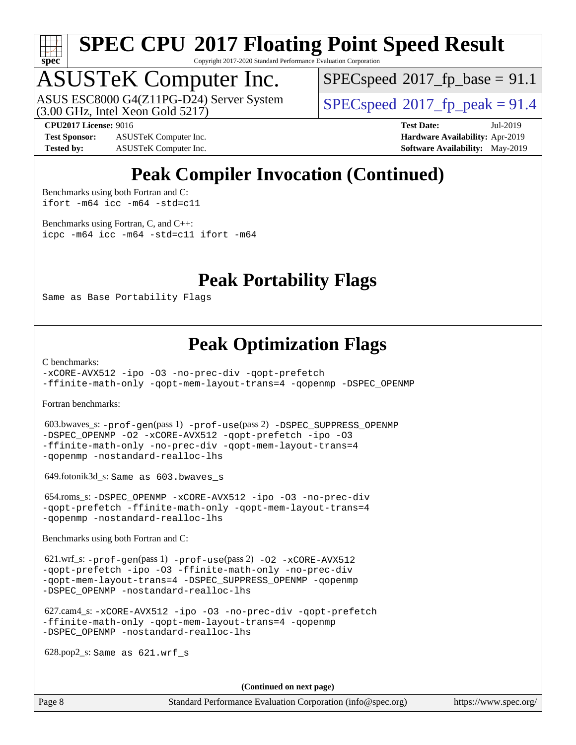

Copyright 2017-2020 Standard Performance Evaluation Corporation

# ASUSTeK Computer Inc.

(3.00 GHz, Intel Xeon Gold 5217) ASUS ESC8000 G4(Z11PG-D24) Server System  $\sqrt{\text{SPECspeed}}$  $\sqrt{\text{SPECspeed}}$  $\sqrt{\text{SPECspeed}}$  2017 fp\_peak = 91.4

 $SPECspeed^{\circ}2017\_fp\_base = 91.1$  $SPECspeed^{\circ}2017\_fp\_base = 91.1$ 

**[Test Sponsor:](http://www.spec.org/auto/cpu2017/Docs/result-fields.html#TestSponsor)** ASUSTeK Computer Inc. **[Hardware Availability:](http://www.spec.org/auto/cpu2017/Docs/result-fields.html#HardwareAvailability)** Apr-2019 **[Tested by:](http://www.spec.org/auto/cpu2017/Docs/result-fields.html#Testedby)** ASUSTeK Computer Inc. **[Software Availability:](http://www.spec.org/auto/cpu2017/Docs/result-fields.html#SoftwareAvailability)** May-2019

**[CPU2017 License:](http://www.spec.org/auto/cpu2017/Docs/result-fields.html#CPU2017License)** 9016 **[Test Date:](http://www.spec.org/auto/cpu2017/Docs/result-fields.html#TestDate)** Jul-2019

## **[Peak Compiler Invocation \(Continued\)](http://www.spec.org/auto/cpu2017/Docs/result-fields.html#PeakCompilerInvocation)**

[Benchmarks using both Fortran and C](http://www.spec.org/auto/cpu2017/Docs/result-fields.html#BenchmarksusingbothFortranandC): [ifort -m64](http://www.spec.org/cpu2017/results/res2019q3/cpu2017-20190722-16295.flags.html#user_CC_FCpeak_intel_ifort_64bit_24f2bb282fbaeffd6157abe4f878425411749daecae9a33200eee2bee2fe76f3b89351d69a8130dd5949958ce389cf37ff59a95e7a40d588e8d3a57e0c3fd751) [icc -m64 -std=c11](http://www.spec.org/cpu2017/results/res2019q3/cpu2017-20190722-16295.flags.html#user_CC_FCpeak_intel_icc_64bit_c11_33ee0cdaae7deeeab2a9725423ba97205ce30f63b9926c2519791662299b76a0318f32ddfffdc46587804de3178b4f9328c46fa7c2b0cd779d7a61945c91cd35)

[Benchmarks using Fortran, C, and C++:](http://www.spec.org/auto/cpu2017/Docs/result-fields.html#BenchmarksusingFortranCandCXX) [icpc -m64](http://www.spec.org/cpu2017/results/res2019q3/cpu2017-20190722-16295.flags.html#user_CC_CXX_FCpeak_intel_icpc_64bit_4ecb2543ae3f1412ef961e0650ca070fec7b7afdcd6ed48761b84423119d1bf6bdf5cad15b44d48e7256388bc77273b966e5eb805aefd121eb22e9299b2ec9d9) [icc -m64 -std=c11](http://www.spec.org/cpu2017/results/res2019q3/cpu2017-20190722-16295.flags.html#user_CC_CXX_FCpeak_intel_icc_64bit_c11_33ee0cdaae7deeeab2a9725423ba97205ce30f63b9926c2519791662299b76a0318f32ddfffdc46587804de3178b4f9328c46fa7c2b0cd779d7a61945c91cd35) [ifort -m64](http://www.spec.org/cpu2017/results/res2019q3/cpu2017-20190722-16295.flags.html#user_CC_CXX_FCpeak_intel_ifort_64bit_24f2bb282fbaeffd6157abe4f878425411749daecae9a33200eee2bee2fe76f3b89351d69a8130dd5949958ce389cf37ff59a95e7a40d588e8d3a57e0c3fd751)

### **[Peak Portability Flags](http://www.spec.org/auto/cpu2017/Docs/result-fields.html#PeakPortabilityFlags)**

Same as Base Portability Flags

### **[Peak Optimization Flags](http://www.spec.org/auto/cpu2017/Docs/result-fields.html#PeakOptimizationFlags)**

[C benchmarks](http://www.spec.org/auto/cpu2017/Docs/result-fields.html#Cbenchmarks):

[-xCORE-AVX512](http://www.spec.org/cpu2017/results/res2019q3/cpu2017-20190722-16295.flags.html#user_CCpeak_f-xCORE-AVX512) [-ipo](http://www.spec.org/cpu2017/results/res2019q3/cpu2017-20190722-16295.flags.html#user_CCpeak_f-ipo) [-O3](http://www.spec.org/cpu2017/results/res2019q3/cpu2017-20190722-16295.flags.html#user_CCpeak_f-O3) [-no-prec-div](http://www.spec.org/cpu2017/results/res2019q3/cpu2017-20190722-16295.flags.html#user_CCpeak_f-no-prec-div) [-qopt-prefetch](http://www.spec.org/cpu2017/results/res2019q3/cpu2017-20190722-16295.flags.html#user_CCpeak_f-qopt-prefetch) [-ffinite-math-only](http://www.spec.org/cpu2017/results/res2019q3/cpu2017-20190722-16295.flags.html#user_CCpeak_f_finite_math_only_cb91587bd2077682c4b38af759c288ed7c732db004271a9512da14a4f8007909a5f1427ecbf1a0fb78ff2a814402c6114ac565ca162485bbcae155b5e4258871) [-qopt-mem-layout-trans=4](http://www.spec.org/cpu2017/results/res2019q3/cpu2017-20190722-16295.flags.html#user_CCpeak_f-qopt-mem-layout-trans_fa39e755916c150a61361b7846f310bcdf6f04e385ef281cadf3647acec3f0ae266d1a1d22d972a7087a248fd4e6ca390a3634700869573d231a252c784941a8) [-qopenmp](http://www.spec.org/cpu2017/results/res2019q3/cpu2017-20190722-16295.flags.html#user_CCpeak_qopenmp_16be0c44f24f464004c6784a7acb94aca937f053568ce72f94b139a11c7c168634a55f6653758ddd83bcf7b8463e8028bb0b48b77bcddc6b78d5d95bb1df2967) [-DSPEC\\_OPENMP](http://www.spec.org/cpu2017/results/res2019q3/cpu2017-20190722-16295.flags.html#suite_CCpeak_DSPEC_OPENMP)

[Fortran benchmarks](http://www.spec.org/auto/cpu2017/Docs/result-fields.html#Fortranbenchmarks):

 603.bwaves\_s: [-prof-gen](http://www.spec.org/cpu2017/results/res2019q3/cpu2017-20190722-16295.flags.html#user_peakPASS1_FFLAGSPASS1_LDFLAGS603_bwaves_s_prof_gen_5aa4926d6013ddb2a31985c654b3eb18169fc0c6952a63635c234f711e6e63dd76e94ad52365559451ec499a2cdb89e4dc58ba4c67ef54ca681ffbe1461d6b36)(pass 1) [-prof-use](http://www.spec.org/cpu2017/results/res2019q3/cpu2017-20190722-16295.flags.html#user_peakPASS2_FFLAGSPASS2_LDFLAGS603_bwaves_s_prof_use_1a21ceae95f36a2b53c25747139a6c16ca95bd9def2a207b4f0849963b97e94f5260e30a0c64f4bb623698870e679ca08317ef8150905d41bd88c6f78df73f19)(pass 2) [-DSPEC\\_SUPPRESS\\_OPENMP](http://www.spec.org/cpu2017/results/res2019q3/cpu2017-20190722-16295.flags.html#suite_peakPASS1_FOPTIMIZE603_bwaves_s_DSPEC_SUPPRESS_OPENMP) [-DSPEC\\_OPENMP](http://www.spec.org/cpu2017/results/res2019q3/cpu2017-20190722-16295.flags.html#suite_peakPASS2_FOPTIMIZE603_bwaves_s_DSPEC_OPENMP) [-O2](http://www.spec.org/cpu2017/results/res2019q3/cpu2017-20190722-16295.flags.html#user_peakPASS1_FOPTIMIZE603_bwaves_s_f-O2) [-xCORE-AVX512](http://www.spec.org/cpu2017/results/res2019q3/cpu2017-20190722-16295.flags.html#user_peakPASS2_FOPTIMIZE603_bwaves_s_f-xCORE-AVX512) [-qopt-prefetch](http://www.spec.org/cpu2017/results/res2019q3/cpu2017-20190722-16295.flags.html#user_peakPASS1_FOPTIMIZEPASS2_FOPTIMIZE603_bwaves_s_f-qopt-prefetch) [-ipo](http://www.spec.org/cpu2017/results/res2019q3/cpu2017-20190722-16295.flags.html#user_peakPASS2_FOPTIMIZE603_bwaves_s_f-ipo) [-O3](http://www.spec.org/cpu2017/results/res2019q3/cpu2017-20190722-16295.flags.html#user_peakPASS2_FOPTIMIZE603_bwaves_s_f-O3) [-ffinite-math-only](http://www.spec.org/cpu2017/results/res2019q3/cpu2017-20190722-16295.flags.html#user_peakPASS1_FOPTIMIZEPASS2_FOPTIMIZE603_bwaves_s_f_finite_math_only_cb91587bd2077682c4b38af759c288ed7c732db004271a9512da14a4f8007909a5f1427ecbf1a0fb78ff2a814402c6114ac565ca162485bbcae155b5e4258871) [-no-prec-div](http://www.spec.org/cpu2017/results/res2019q3/cpu2017-20190722-16295.flags.html#user_peakPASS2_FOPTIMIZE603_bwaves_s_f-no-prec-div) [-qopt-mem-layout-trans=4](http://www.spec.org/cpu2017/results/res2019q3/cpu2017-20190722-16295.flags.html#user_peakPASS1_FOPTIMIZEPASS2_FOPTIMIZE603_bwaves_s_f-qopt-mem-layout-trans_fa39e755916c150a61361b7846f310bcdf6f04e385ef281cadf3647acec3f0ae266d1a1d22d972a7087a248fd4e6ca390a3634700869573d231a252c784941a8) [-qopenmp](http://www.spec.org/cpu2017/results/res2019q3/cpu2017-20190722-16295.flags.html#user_peakPASS2_FOPTIMIZE603_bwaves_s_qopenmp_16be0c44f24f464004c6784a7acb94aca937f053568ce72f94b139a11c7c168634a55f6653758ddd83bcf7b8463e8028bb0b48b77bcddc6b78d5d95bb1df2967) [-nostandard-realloc-lhs](http://www.spec.org/cpu2017/results/res2019q3/cpu2017-20190722-16295.flags.html#user_peakEXTRA_FOPTIMIZE603_bwaves_s_f_2003_std_realloc_82b4557e90729c0f113870c07e44d33d6f5a304b4f63d4c15d2d0f1fab99f5daaed73bdb9275d9ae411527f28b936061aa8b9c8f2d63842963b95c9dd6426b8a)

649.fotonik3d\_s: Same as 603.bwaves\_s

 654.roms\_s: [-DSPEC\\_OPENMP](http://www.spec.org/cpu2017/results/res2019q3/cpu2017-20190722-16295.flags.html#suite_peakFOPTIMIZE654_roms_s_DSPEC_OPENMP) [-xCORE-AVX512](http://www.spec.org/cpu2017/results/res2019q3/cpu2017-20190722-16295.flags.html#user_peakFOPTIMIZE654_roms_s_f-xCORE-AVX512) [-ipo](http://www.spec.org/cpu2017/results/res2019q3/cpu2017-20190722-16295.flags.html#user_peakFOPTIMIZE654_roms_s_f-ipo) [-O3](http://www.spec.org/cpu2017/results/res2019q3/cpu2017-20190722-16295.flags.html#user_peakFOPTIMIZE654_roms_s_f-O3) [-no-prec-div](http://www.spec.org/cpu2017/results/res2019q3/cpu2017-20190722-16295.flags.html#user_peakFOPTIMIZE654_roms_s_f-no-prec-div) [-qopt-prefetch](http://www.spec.org/cpu2017/results/res2019q3/cpu2017-20190722-16295.flags.html#user_peakFOPTIMIZE654_roms_s_f-qopt-prefetch) [-ffinite-math-only](http://www.spec.org/cpu2017/results/res2019q3/cpu2017-20190722-16295.flags.html#user_peakFOPTIMIZE654_roms_s_f_finite_math_only_cb91587bd2077682c4b38af759c288ed7c732db004271a9512da14a4f8007909a5f1427ecbf1a0fb78ff2a814402c6114ac565ca162485bbcae155b5e4258871) [-qopt-mem-layout-trans=4](http://www.spec.org/cpu2017/results/res2019q3/cpu2017-20190722-16295.flags.html#user_peakFOPTIMIZE654_roms_s_f-qopt-mem-layout-trans_fa39e755916c150a61361b7846f310bcdf6f04e385ef281cadf3647acec3f0ae266d1a1d22d972a7087a248fd4e6ca390a3634700869573d231a252c784941a8) [-qopenmp](http://www.spec.org/cpu2017/results/res2019q3/cpu2017-20190722-16295.flags.html#user_peakFOPTIMIZE654_roms_s_qopenmp_16be0c44f24f464004c6784a7acb94aca937f053568ce72f94b139a11c7c168634a55f6653758ddd83bcf7b8463e8028bb0b48b77bcddc6b78d5d95bb1df2967) [-nostandard-realloc-lhs](http://www.spec.org/cpu2017/results/res2019q3/cpu2017-20190722-16295.flags.html#user_peakEXTRA_FOPTIMIZE654_roms_s_f_2003_std_realloc_82b4557e90729c0f113870c07e44d33d6f5a304b4f63d4c15d2d0f1fab99f5daaed73bdb9275d9ae411527f28b936061aa8b9c8f2d63842963b95c9dd6426b8a)

[Benchmarks using both Fortran and C](http://www.spec.org/auto/cpu2017/Docs/result-fields.html#BenchmarksusingbothFortranandC):

 621.wrf\_s: [-prof-gen](http://www.spec.org/cpu2017/results/res2019q3/cpu2017-20190722-16295.flags.html#user_peakPASS1_CFLAGSPASS1_FFLAGSPASS1_LDFLAGS621_wrf_s_prof_gen_5aa4926d6013ddb2a31985c654b3eb18169fc0c6952a63635c234f711e6e63dd76e94ad52365559451ec499a2cdb89e4dc58ba4c67ef54ca681ffbe1461d6b36)(pass 1) [-prof-use](http://www.spec.org/cpu2017/results/res2019q3/cpu2017-20190722-16295.flags.html#user_peakPASS2_CFLAGSPASS2_FFLAGSPASS2_LDFLAGS621_wrf_s_prof_use_1a21ceae95f36a2b53c25747139a6c16ca95bd9def2a207b4f0849963b97e94f5260e30a0c64f4bb623698870e679ca08317ef8150905d41bd88c6f78df73f19)(pass 2) [-O2](http://www.spec.org/cpu2017/results/res2019q3/cpu2017-20190722-16295.flags.html#user_peakPASS1_COPTIMIZEPASS1_FOPTIMIZE621_wrf_s_f-O2) [-xCORE-AVX512](http://www.spec.org/cpu2017/results/res2019q3/cpu2017-20190722-16295.flags.html#user_peakPASS2_COPTIMIZEPASS2_FOPTIMIZE621_wrf_s_f-xCORE-AVX512) [-qopt-prefetch](http://www.spec.org/cpu2017/results/res2019q3/cpu2017-20190722-16295.flags.html#user_peakPASS1_COPTIMIZEPASS1_FOPTIMIZEPASS2_COPTIMIZEPASS2_FOPTIMIZE621_wrf_s_f-qopt-prefetch) [-ipo](http://www.spec.org/cpu2017/results/res2019q3/cpu2017-20190722-16295.flags.html#user_peakPASS2_COPTIMIZEPASS2_FOPTIMIZE621_wrf_s_f-ipo) [-O3](http://www.spec.org/cpu2017/results/res2019q3/cpu2017-20190722-16295.flags.html#user_peakPASS2_COPTIMIZEPASS2_FOPTIMIZE621_wrf_s_f-O3) [-ffinite-math-only](http://www.spec.org/cpu2017/results/res2019q3/cpu2017-20190722-16295.flags.html#user_peakPASS1_COPTIMIZEPASS1_FOPTIMIZEPASS2_COPTIMIZEPASS2_FOPTIMIZE621_wrf_s_f_finite_math_only_cb91587bd2077682c4b38af759c288ed7c732db004271a9512da14a4f8007909a5f1427ecbf1a0fb78ff2a814402c6114ac565ca162485bbcae155b5e4258871) [-no-prec-div](http://www.spec.org/cpu2017/results/res2019q3/cpu2017-20190722-16295.flags.html#user_peakPASS2_COPTIMIZEPASS2_FOPTIMIZE621_wrf_s_f-no-prec-div) [-qopt-mem-layout-trans=4](http://www.spec.org/cpu2017/results/res2019q3/cpu2017-20190722-16295.flags.html#user_peakPASS1_COPTIMIZEPASS1_FOPTIMIZEPASS2_COPTIMIZEPASS2_FOPTIMIZE621_wrf_s_f-qopt-mem-layout-trans_fa39e755916c150a61361b7846f310bcdf6f04e385ef281cadf3647acec3f0ae266d1a1d22d972a7087a248fd4e6ca390a3634700869573d231a252c784941a8) [-DSPEC\\_SUPPRESS\\_OPENMP](http://www.spec.org/cpu2017/results/res2019q3/cpu2017-20190722-16295.flags.html#suite_peakPASS1_COPTIMIZEPASS1_FOPTIMIZE621_wrf_s_DSPEC_SUPPRESS_OPENMP) [-qopenmp](http://www.spec.org/cpu2017/results/res2019q3/cpu2017-20190722-16295.flags.html#user_peakPASS2_COPTIMIZEPASS2_FOPTIMIZE621_wrf_s_qopenmp_16be0c44f24f464004c6784a7acb94aca937f053568ce72f94b139a11c7c168634a55f6653758ddd83bcf7b8463e8028bb0b48b77bcddc6b78d5d95bb1df2967) [-DSPEC\\_OPENMP](http://www.spec.org/cpu2017/results/res2019q3/cpu2017-20190722-16295.flags.html#suite_peakPASS2_COPTIMIZEPASS2_FOPTIMIZE621_wrf_s_DSPEC_OPENMP) [-nostandard-realloc-lhs](http://www.spec.org/cpu2017/results/res2019q3/cpu2017-20190722-16295.flags.html#user_peakEXTRA_FOPTIMIZE621_wrf_s_f_2003_std_realloc_82b4557e90729c0f113870c07e44d33d6f5a304b4f63d4c15d2d0f1fab99f5daaed73bdb9275d9ae411527f28b936061aa8b9c8f2d63842963b95c9dd6426b8a)

 627.cam4\_s: [-xCORE-AVX512](http://www.spec.org/cpu2017/results/res2019q3/cpu2017-20190722-16295.flags.html#user_peakCOPTIMIZEFOPTIMIZE627_cam4_s_f-xCORE-AVX512) [-ipo](http://www.spec.org/cpu2017/results/res2019q3/cpu2017-20190722-16295.flags.html#user_peakCOPTIMIZEFOPTIMIZE627_cam4_s_f-ipo) [-O3](http://www.spec.org/cpu2017/results/res2019q3/cpu2017-20190722-16295.flags.html#user_peakCOPTIMIZEFOPTIMIZE627_cam4_s_f-O3) [-no-prec-div](http://www.spec.org/cpu2017/results/res2019q3/cpu2017-20190722-16295.flags.html#user_peakCOPTIMIZEFOPTIMIZE627_cam4_s_f-no-prec-div) [-qopt-prefetch](http://www.spec.org/cpu2017/results/res2019q3/cpu2017-20190722-16295.flags.html#user_peakCOPTIMIZEFOPTIMIZE627_cam4_s_f-qopt-prefetch) [-ffinite-math-only](http://www.spec.org/cpu2017/results/res2019q3/cpu2017-20190722-16295.flags.html#user_peakCOPTIMIZEFOPTIMIZE627_cam4_s_f_finite_math_only_cb91587bd2077682c4b38af759c288ed7c732db004271a9512da14a4f8007909a5f1427ecbf1a0fb78ff2a814402c6114ac565ca162485bbcae155b5e4258871) [-qopt-mem-layout-trans=4](http://www.spec.org/cpu2017/results/res2019q3/cpu2017-20190722-16295.flags.html#user_peakCOPTIMIZEFOPTIMIZE627_cam4_s_f-qopt-mem-layout-trans_fa39e755916c150a61361b7846f310bcdf6f04e385ef281cadf3647acec3f0ae266d1a1d22d972a7087a248fd4e6ca390a3634700869573d231a252c784941a8) [-qopenmp](http://www.spec.org/cpu2017/results/res2019q3/cpu2017-20190722-16295.flags.html#user_peakCOPTIMIZEFOPTIMIZE627_cam4_s_qopenmp_16be0c44f24f464004c6784a7acb94aca937f053568ce72f94b139a11c7c168634a55f6653758ddd83bcf7b8463e8028bb0b48b77bcddc6b78d5d95bb1df2967) [-DSPEC\\_OPENMP](http://www.spec.org/cpu2017/results/res2019q3/cpu2017-20190722-16295.flags.html#suite_peakCOPTIMIZEFOPTIMIZE627_cam4_s_DSPEC_OPENMP) [-nostandard-realloc-lhs](http://www.spec.org/cpu2017/results/res2019q3/cpu2017-20190722-16295.flags.html#user_peakEXTRA_FOPTIMIZE627_cam4_s_f_2003_std_realloc_82b4557e90729c0f113870c07e44d33d6f5a304b4f63d4c15d2d0f1fab99f5daaed73bdb9275d9ae411527f28b936061aa8b9c8f2d63842963b95c9dd6426b8a)

628.pop2\_s: Same as 621.wrf\_s

**(Continued on next page)**